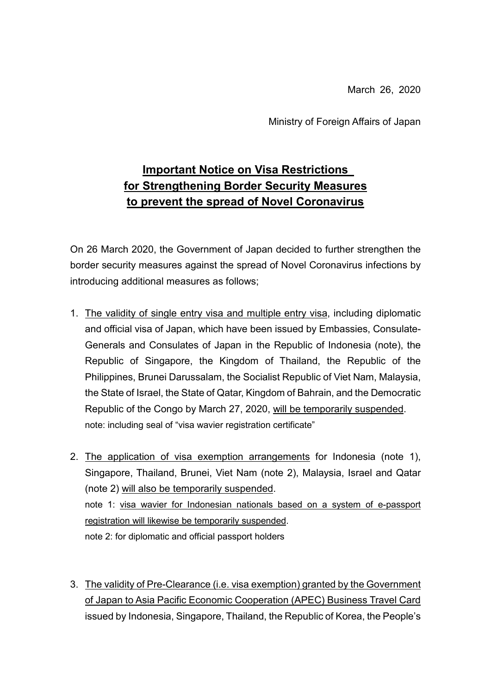March 26, 2020

Ministry of Foreign Affairs of Japan

# **Important Notice on Visa Restrictions for Strengthening Border Security Measures to prevent the spread of Novel Coronavirus**

On 26 March 2020, the Government of Japan decided to further strengthen the border security measures against the spread of Novel Coronavirus infections by introducing additional measures as follows;

- 1. The validity of single entry visa and multiple entry visa, including diplomatic and official visa of Japan, which have been issued by Embassies, Consulate-Generals and Consulates of Japan in the Republic of Indonesia (note), the Republic of Singapore, the Kingdom of Thailand, the Republic of the Philippines, Brunei Darussalam, the Socialist Republic of Viet Nam, Malaysia, the State of Israel, the State of Qatar, Kingdom of Bahrain, and the Democratic Republic of the Congo by March 27, 2020, will be temporarily suspended. note: including seal of "visa wavier registration certificate"
- 2. The application of visa exemption arrangements for Indonesia (note 1), Singapore, Thailand, Brunei, Viet Nam (note 2), Malaysia, Israel and Qatar (note 2) will also be temporarily suspended. note 1: visa wavier for Indonesian nationals based on a system of e-passport registration will likewise be temporarily suspended. note 2: for diplomatic and official passport holders
- 3. The validity of Pre-Clearance (i.e. visa exemption) granted by the Government of Japan to Asia Pacific Economic Cooperation (APEC) Business Travel Card issued by Indonesia, Singapore, Thailand, the Republic of Korea, the People's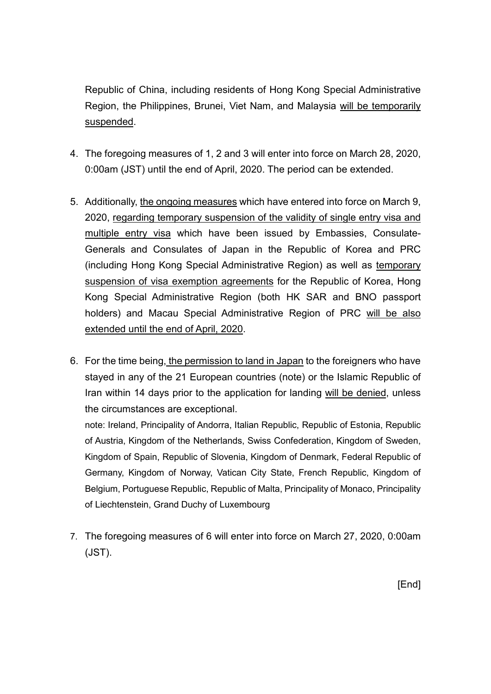Republic of China, including residents of Hong Kong Special Administrative Region, the Philippines, Brunei, Viet Nam, and Malaysia will be temporarily suspended.

- 4. The foregoing measures of 1, 2 and 3 will enter into force on March 28, 2020, 0:00am (JST) until the end of April, 2020. The period can be extended.
- 5. Additionally, the ongoing measures which have entered into force on March 9, 2020, regarding temporary suspension of the validity of single entry visa and multiple entry visa which have been issued by Embassies, Consulate-Generals and Consulates of Japan in the Republic of Korea and PRC (including Hong Kong Special Administrative Region) as well as temporary suspension of visa exemption agreements for the Republic of Korea, Hong Kong Special Administrative Region (both HK SAR and BNO passport holders) and Macau Special Administrative Region of PRC will be also extended until the end of April, 2020.
- 6. For the time being, the permission to land in Japan to the foreigners who have stayed in any of the 21 European countries (note) or the Islamic Republic of Iran within 14 days prior to the application for landing will be denied, unless the circumstances are exceptional.

note: Ireland, Principality of Andorra, Italian Republic, Republic of Estonia, Republic of Austria, Kingdom of the Netherlands, Swiss Confederation, Kingdom of Sweden, Kingdom of Spain, Republic of Slovenia, Kingdom of Denmark, Federal Republic of Germany, Kingdom of Norway, Vatican City State, French Republic, Kingdom of Belgium, Portuguese Republic, Republic of Malta, Principality of Monaco, Principality of Liechtenstein, Grand Duchy of Luxembourg

7. The foregoing measures of 6 will enter into force on March 27, 2020, 0:00am (JST).

[End]